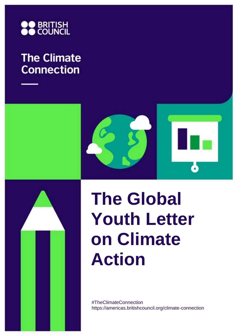

# **The Climate Connection**



# **The Global Youth Letter on Climate Action**

#TheClimateConnection https://americas.britishcouncil.org/climate-connection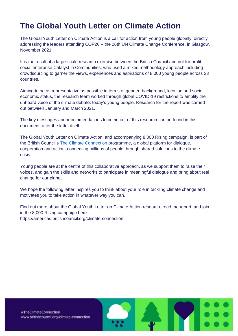# **The Global Youth Letter on Climate Action**

The Global Youth Letter on Climate Action is a call for action from young people globally, directly addressing the leaders attending COP26 – the 26th UN Climate Change Conference, in Glasgow, November 2021.

It is the result of a large-scale research exercise between the British Council and not for profit social enterprise Catalyst in Communities, who used a mixed methodology approach including crowdsourcing to garner the views, experiences and aspirations of 8,000 young people across 23 countries.

Aiming to be as representative as possible in terms of gender, background, location and socioeconomic status, the research team worked through global COVID-19 restrictions to amplify the unheard voice of the climate debate: today's young people. Research for the report was carried out between January and March 2021.

The key messages and recommendations to come out of this research can be found in this document, after the letter itself.

The Global Youth Letter on Climate Action, and accompanying 8,000 Rising campaign, is part of the British Council's [The Climate Connection](https://www.britishcouncil.org/climate-connection/get-involved/global-youth-letter) programme, a global platform for dialogue, cooperation and action, connecting millions of people through shared solutions to the climate crisis.

Young people are at the centre of this collaborative approach, as we support them to raise their voices, and gain the skills and networks to participate in meaningful dialogue and bring about real change for our planet.

We hope the following letter inspires you to think about your role in tackling climate change and motivates you to take action in whatever way you can.

Find out more about the Global Youth Letter on Climate Action research, read the report, and join in the 8,000 Rising campaign here:

https://americas.britishcouncil.org/climate-connection.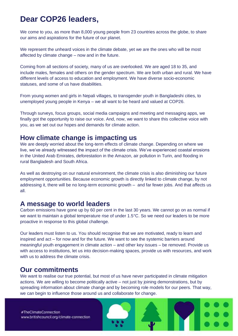# **Dear COP26 leaders,**

We come to you, as more than 8,000 young people from 23 countries across the globe, to share our aims and aspirations for the future of our planet.

We represent the unheard voices in the climate debate, yet we are the ones who will be most affected by climate change – now and in the future.

Coming from all sections of society, many of us are overlooked. We are aged 18 to 35, and include males, females and others on the gender spectrum. We are both urban and rural. We have different levels of access to education and employment. We have diverse socio-economic statuses, and some of us have disabilities.

From young women and girls in Nepali villages, to transgender youth in Bangladeshi cities, to unemployed young people in Kenya – we all want to be heard and valued at COP26.

Through surveys, focus groups, social media campaigns and meeting and messaging apps, we finally got the opportunity to raise our voice. And, now, we want to share this collective voice with you, as we set out our hopes and demands for climate action.

#### **How climate change is impacting us**

We are deeply worried about the long-term effects of climate change. Depending on where we live, we've already witnessed the impact of the climate crisis. We've experienced coastal erosions in the United Arab Emirates, deforestation in the Amazon, air pollution in Turin, and flooding in rural Bangladesh and South Africa.

As well as destroying on our natural environment, the climate crisis is also diminishing our future employment opportunities. Because economic growth is directly linked to climate change, by not addressing it, there will be no long-term economic growth – and far fewer jobs. And that affects us all.

#### **A message to world leaders**

Carbon emissions have gone up by 60 per cent in the last 30 years. We cannot go on as normal if we want to maintain a global temperature rise of under 1.5°C. So we need our leaders to be more proactive in response to this global challenge.

Our leaders must listen to us. You should recognise that we are motivated, ready to learn and inspired and act – for now and for the future. We want to see the systemic barriers around meaningful youth engagement in climate action – and other key issues – be removed. Provide us with access to institutions, let us into decision-making spaces, provide us with resources, and work with us to address the climate crisis.

#### **Our commitments**

We want to realise our true potential, but most of us have never participated in climate mitigation actions. We are willing to become politically active – not just by joining demonstrations, but by spreading information about climate change and by becoming role models for our peers. That way, we can begin to influence those around us and collaborate for change.

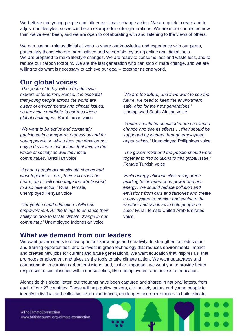We believe that young people can influence climate change action. We are quick to react and to adjust our lifestyles, so we can be an example for older generations. We are more connected now than we've ever been, and we are open to collaborating with and listening to the views of others.

We can use our role as digital citizens to share our knowledge and experience with our peers, particularly those who are marginalised and vulnerable, by using online and digital tools. We are prepared to make lifestyle changes. We are ready to consume less and waste less, and to reduce our carbon footprint. We are the last generation who can stop climate change, and we are willing to do what is necessary to achieve our goal – together as one world.

#### **Our global voices**

*'The youth of today will be the decision makers of tomorrow. Hence, it is essential that young people across the world are aware of environmental and climate issues, so they can contribute to address these global challenges.*' Rural Indian voice

*'We want to be active and constantly participate in a long-term process by and for young people, in which they can develop not only a discourse, but actions that involve the whole of society as well their local communities.'* Brazilian voice

*'If young people act on climate change and work together as one, their voices will be heard, and it will encourage the whole world to also take action.'* Rural, female, unemployed Kenyan voice

*'Our youths need education, skills and empowerment. All the things to enhance their ability on how to tackle climate change in our community.'* Unemployed Indonesian voice

*'We are the future, and if we want to see the future, we need to keep the environment safe, also for the next generations.'*  Unemployed South African voice

*'Youths should be educated more on climate change and see its effects … they should be supported by leaders through employment opportunities.*' Unemployed Philippines voice

*'The government and the people should work together to find solutions to this global issue.'*  Female Turkish voice

*'Build energy-efficient cities using green building techniques, wind power and bioenergy. We should reduce pollution and emissions from cars and factories and create a new system to monitor and evaluate the weather and sea level to help people be safe.'* Rural, female United Arab Emirates voice

#### **What we demand from our leaders**

We want governments to draw upon our knowledge and creativity, to strengthen our education and training opportunities, and to invest in green technology that reduces environmental impact and creates new jobs for current and future generations. We want education that inspires us, that promotes employment and gives us the tools to take climate action. We want guarantees and commitments to curbing carbon emissions, and, just as important, we want you to provide better responses to social issues within our societies, like unemployment and access to education.

Alongside this global letter, our thoughts have been captured and shared in national letters, from each of our 23 countries. These will help policy makers, civil society actors and young people to identify individual and collective lived experiences, challenges and opportunities to build climate

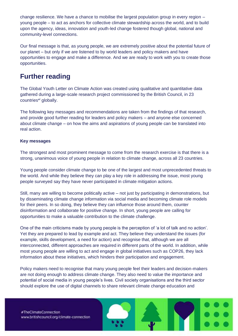change resilience. We have a chance to mobilise the largest population group in every region – young people – to act as anchors for collective climate stewardship across the world, and to build upon the agency, ideas, innovation and youth-led change fostered though global, national and community-level connections.

Our final message is that, as young people, we are extremely positive about the potential future of our planet – but only if we are listened to by world leaders and policy makers and have opportunities to engage and make a difference. And we are ready to work with you to create those opportunities.

### **Further reading**

The Global Youth Letter on Climate Action was created using qualitative and quantitative data gathered during a large-scale research project commissioned by the British Council, in 23 countries\*<sup>i</sup> globally.

The following key messages and recommendations are taken from the findings of that research, and provide good further reading for leaders and policy makers – and anyone else concerned about climate change – on how the aims and aspirations of young people can be translated into real action.

#### **Key messages**

The strongest and most prominent message to come from the research exercise is that there is a strong, unanimous voice of young people in relation to climate change, across all 23 countries.

Young people consider climate change to be one of the largest and most unprecedented threats to the world. And while they believe they can play a key role in addressing the issue, most young people surveyed say they have never participated in climate mitigation actions.

Still, many are willing to become politically active – not just by participating in demonstrations, but by disseminating climate change information via social media and becoming climate role models for their peers. In so doing, they believe they can influence those around them, counter disinformation and collaborate for positive change. In short, young people are calling for opportunities to make a valuable contribution to the climate challenge.

One of the main criticisms made by young people is the perception of 'a lot of talk and no action'. Yet they are prepared to lead by example and act. They believe they understand the issues (for example, skills development, a need for action) and recognise that, although we are all interconnected, different approaches are required in different parts of the world. In addition, while most young people are willing to act and engage in global initiatives such as COP26, they lack information about these initiatives, which hinders their participation and engagement.

Policy makers need to recognise that many young people feel their leaders and decision-makers are not doing enough to address climate change. They also need to value the importance and potential of social media in young people's lives. Civil society organisations and the third sector should explore the use of digital channels to share relevant climate change education and

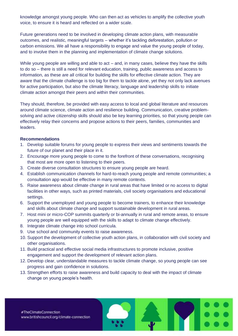knowledge amongst young people. Who can then act as vehicles to amplify the collective youth voice, to ensure it is heard and reflected on a wider scale.

Future generations need to be involved in developing climate action plans, with measurable outcomes, and realistic, meaningful targets – whether it's tackling deforestation, pollution or carbon emissions. We all have a responsibility to engage and value the young people of today, and to involve them in the planning and implementation of climate change solutions.

While young people are willing and able to act – and, in many cases, believe they have the skills to do so – there is still a need for relevant education, training, public awareness and access to information, as these are all critical for building the skills for effective climate action. They are aware that the climate challenge is too big for them to tackle alone, yet they not only lack avenues for active participation, but also the climate literacy, language and leadership skills to initiate climate action amongst their peers and within their communities.

They should, therefore, be provided with easy access to local and global literature and resources around climate science, climate action and resilience building. Communication, creative problemsolving and active citizenship skills should also be key learning priorities, so that young people can effectively relay their concerns and propose actions to their peers, families, communities and leaders.

#### **Recommendations**

- 1. Develop suitable forums for young people to express their views and sentiments towards the future of our planet and their place in it.
- 2. Encourage more young people to come to the forefront of these conversations, recognising that most are more open to listening to their peers.
- 3. Create diverse consultation structures to ensure young people are heard.
- 4. Establish communication channels for hard-to-reach young people and remote communities; a consultation app would be effective in many remote contexts.
- 5. Raise awareness about climate change in rural areas that have limited or no access to digital facilities in other ways, such as printed materials, civil society organisations and educational settings.
- 6. Support the unemployed and young people to become trainers, to enhance their knowledge and skills about climate change and support sustainable development in rural areas.
- 7. Host mini or micro-COP summits quarterly or bi-annually in rural and remote areas, to ensure young people are well equipped with the skills to adapt to climate change effectively.
- 8. Integrate climate change into school curricula.
- 9. Use school and community events to raise awareness.
- 10. Support the development of collective youth action plans, in collaboration with civil society and other organisations.
- 11. Build practical and effective social media infrastructures to promote inclusive, positive engagement and support the development of relevant action plans.
- 12. Develop clear, understandable measures to tackle climate change, so young people can see progress and gain confidence in solutions.
- 13. Strengthen efforts to raise awareness and build capacity to deal with the impact of climate change on young people's health.